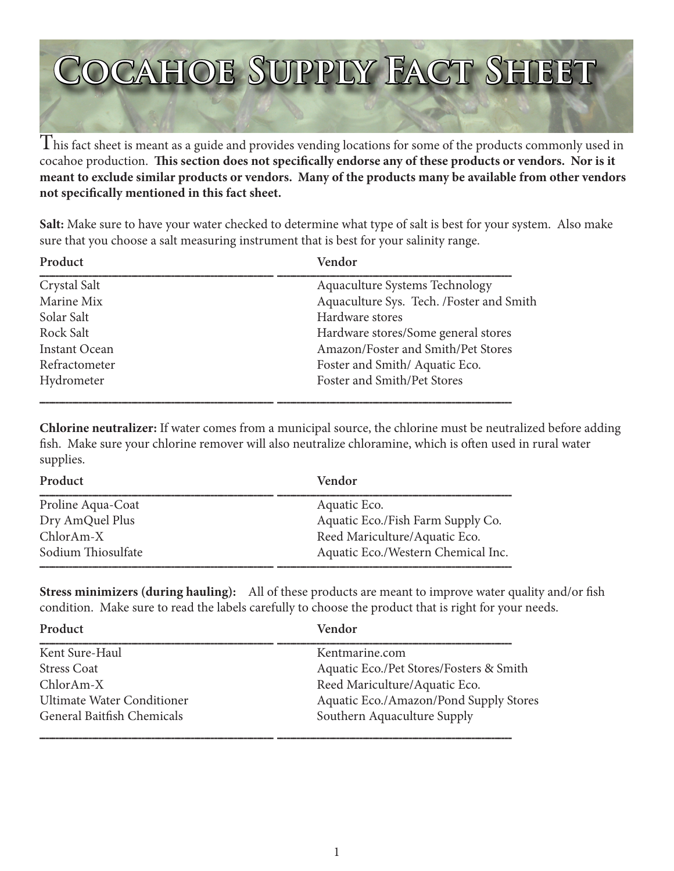# **Cocahoe Supply Fact Sheet**

 $\rm T$ his fact sheet is meant as a guide and provides vending locations for some of the products commonly used in cocahoe production. **This section does not specifically endorse any of these products or vendors. Nor is it meant to exclude similar products or vendors. Many of the products many be available from other vendors not specifically mentioned in this fact sheet.**

**Salt:** Make sure to have your water checked to determine what type of salt is best for your system. Also make sure that you choose a salt measuring instrument that is best for your salinity range.

| Vendor                                   |
|------------------------------------------|
| Aquaculture Systems Technology           |
| Aquaculture Sys. Tech. /Foster and Smith |
| Hardware stores                          |
| Hardware stores/Some general stores      |
| Amazon/Foster and Smith/Pet Stores       |
| Foster and Smith/Aquatic Eco.            |
| Foster and Smith/Pet Stores              |
|                                          |

**Chlorine neutralizer:** If water comes from a municipal source, the chlorine must be neutralized before adding fish. Make sure your chlorine remover will also neutralize chloramine, which is often used in rural water supplies.

| Product            | Vendor                             |
|--------------------|------------------------------------|
| Proline Aqua-Coat  | Aquatic Eco.                       |
| Dry AmQuel Plus    | Aquatic Eco./Fish Farm Supply Co.  |
| $ChlorAm-X$        | Reed Mariculture/Aquatic Eco.      |
| Sodium Thiosulfate | Aquatic Eco./Western Chemical Inc. |

**Stress minimizers (during hauling):** All of these products are meant to improve water quality and/or fish condition. Make sure to read the labels carefully to choose the product that is right for your needs.

| Product                           | Vendor                                  |
|-----------------------------------|-----------------------------------------|
| Kent Sure-Haul                    | Kentmarine.com                          |
| <b>Stress Coat</b>                | Aquatic Eco./Pet Stores/Fosters & Smith |
| $ChlorAm-X$                       | Reed Mariculture/Aquatic Eco.           |
| <b>Ultimate Water Conditioner</b> | Aquatic Eco./Amazon/Pond Supply Stores  |
| General Baitfish Chemicals        | Southern Aquaculture Supply             |
|                                   |                                         |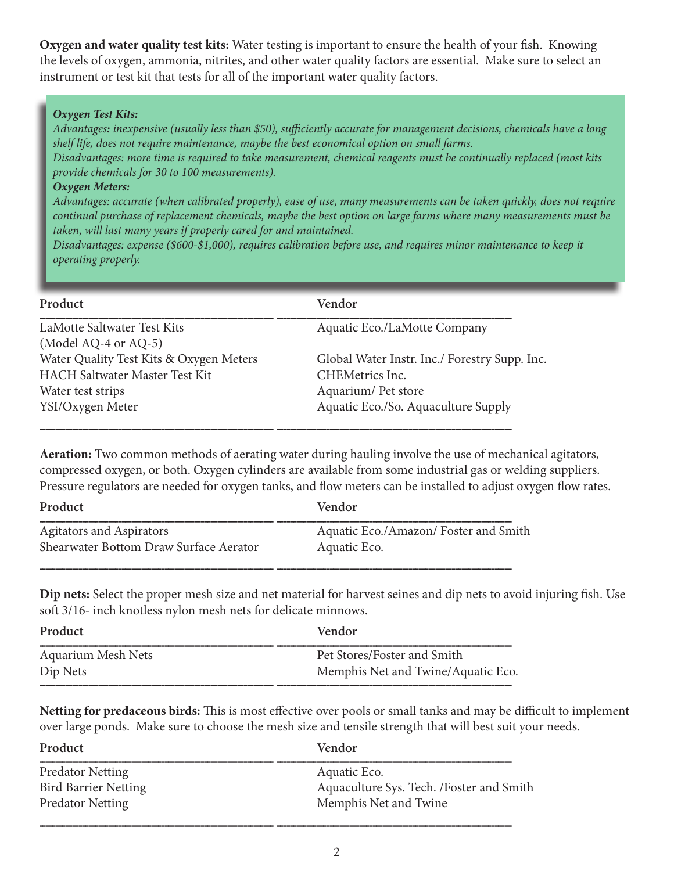**Oxygen and water quality test kits:** Water testing is important to ensure the health of your fish. Knowing the levels of oxygen, ammonia, nitrites, and other water quality factors are essential. Make sure to select an instrument or test kit that tests for all of the important water quality factors.

#### *Oxygen Test Kits:*

*Advantages: inexpensive (usually less than \$50), sufficiently accurate for management decisions, chemicals have a long shelf life, does not require maintenance, maybe the best economical option on small farms.* 

*Disadvantages: more time is required to take measurement, chemical reagents must be continually replaced (most kits provide chemicals for 30 to 100 measurements).*

#### *Oxygen Meters:*

*Advantages: accurate (when calibrated properly), ease of use, many measurements can be taken quickly, does not require continual purchase of replacement chemicals, maybe the best option on large farms where many measurements must be taken, will last many years if properly cared for and maintained.* 

*Disadvantages: expense (\$600-\$1,000), requires calibration before use, and requires minor maintenance to keep it operating properly.* 

| Product                                             | Vendor                                        |
|-----------------------------------------------------|-----------------------------------------------|
| LaMotte Saltwater Test Kits<br>(Model AQ-4 or AQ-5) | Aquatic Eco./LaMotte Company                  |
| Water Quality Test Kits & Oxygen Meters             | Global Water Instr. Inc./ Forestry Supp. Inc. |
| <b>HACH Saltwater Master Test Kit</b>               | CHEMetrics Inc.                               |
| Water test strips                                   | Aquarium/Pet store                            |
| YSI/Oxygen Meter                                    | Aquatic Eco./So. Aquaculture Supply           |

**Aeration:** Two common methods of aerating water during hauling involve the use of mechanical agitators, compressed oxygen, or both. Oxygen cylinders are available from some industrial gas or welding suppliers. Pressure regulators are needed for oxygen tanks, and flow meters can be installed to adjust oxygen flow rates.

| Product                                | Vendor                               |
|----------------------------------------|--------------------------------------|
| <b>Agitators and Aspirators</b>        | Aquatic Eco./Amazon/Foster and Smith |
| Shearwater Bottom Draw Surface Aerator | Aquatic Eco.                         |

**Dip nets:** Select the proper mesh size and net material for harvest seines and dip nets to avoid injuring fish. Use soft 3/16- inch knotless nylon mesh nets for delicate minnows.

| Product                   | Vendor                             |
|---------------------------|------------------------------------|
| <b>Aquarium Mesh Nets</b> | Pet Stores/Foster and Smith        |
| Dip Nets                  | Memphis Net and Twine/Aquatic Eco. |
|                           |                                    |

**Netting for predaceous birds:** This is most effective over pools or small tanks and may be difficult to implement over large ponds. Make sure to choose the mesh size and tensile strength that will best suit your needs.

| Product                     | Vendor                                    |
|-----------------------------|-------------------------------------------|
| <b>Predator Netting</b>     | Aquatic Eco.                              |
| <b>Bird Barrier Netting</b> | Aquaculture Sys. Tech. / Foster and Smith |
| <b>Predator Netting</b>     | Memphis Net and Twine                     |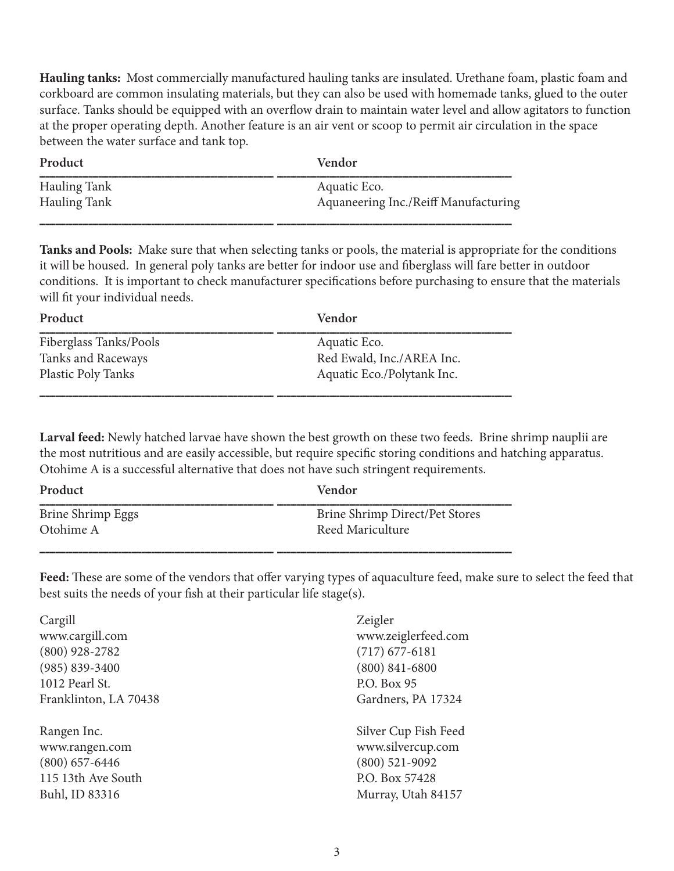**Hauling tanks:** Most commercially manufactured hauling tanks are insulated. Urethane foam, plastic foam and corkboard are common insulating materials, but they can also be used with homemade tanks, glued to the outer surface. Tanks should be equipped with an overflow drain to maintain water level and allow agitators to function at the proper operating depth. Another feature is an air vent or scoop to permit air circulation in the space between the water surface and tank top.

| Product             | Vendor                               |
|---------------------|--------------------------------------|
| <b>Hauling Tank</b> | Aquatic Eco.                         |
| <b>Hauling Tank</b> | Aquaneering Inc./Reiff Manufacturing |

**Tanks and Pools:** Make sure that when selecting tanks or pools, the material is appropriate for the conditions it will be housed. In general poly tanks are better for indoor use and fiberglass will fare better in outdoor conditions. It is important to check manufacturer specifications before purchasing to ensure that the materials will fit your individual needs.

| Product                | <b>Vendor</b>              |
|------------------------|----------------------------|
| Fiberglass Tanks/Pools | Aquatic Eco.               |
| Tanks and Raceways     | Red Ewald, Inc./AREA Inc.  |
| Plastic Poly Tanks     | Aquatic Eco./Polytank Inc. |
|                        |                            |

**Larval feed:** Newly hatched larvae have shown the best growth on these two feeds. Brine shrimp nauplii are the most nutritious and are easily accessible, but require specific storing conditions and hatching apparatus. Otohime A is a successful alternative that does not have such stringent requirements.

| Product           | Vendor                         |
|-------------------|--------------------------------|
| Brine Shrimp Eggs | Brine Shrimp Direct/Pet Stores |
| Otohime A         | Reed Mariculture               |

**Feed:** These are some of the vendors that offer varying types of aquaculture feed, make sure to select the feed that best suits the needs of your fish at their particular life stage(s).

| Cargill               | Zeigler              |
|-----------------------|----------------------|
| www.cargill.com       | www.zeiglerfeed.com  |
| $(800)$ 928-2782      | $(717)$ 677-6181     |
| $(985) 839 - 3400$    | $(800)$ 841-6800     |
| 1012 Pearl St.        | P.O. Box 95          |
| Franklinton, LA 70438 | Gardners, PA 17324   |
|                       |                      |
| Rangen Inc.           | Silver Cup Fish Feed |
| www.rangen.com        | www.silvercup.com    |
| $(800)$ 657-6446      | $(800)$ 521-9092     |
| 115 13th Ave South    | P.O. Box 57428       |
| Buhl, ID 83316        | Murray, Utah 84157   |
|                       |                      |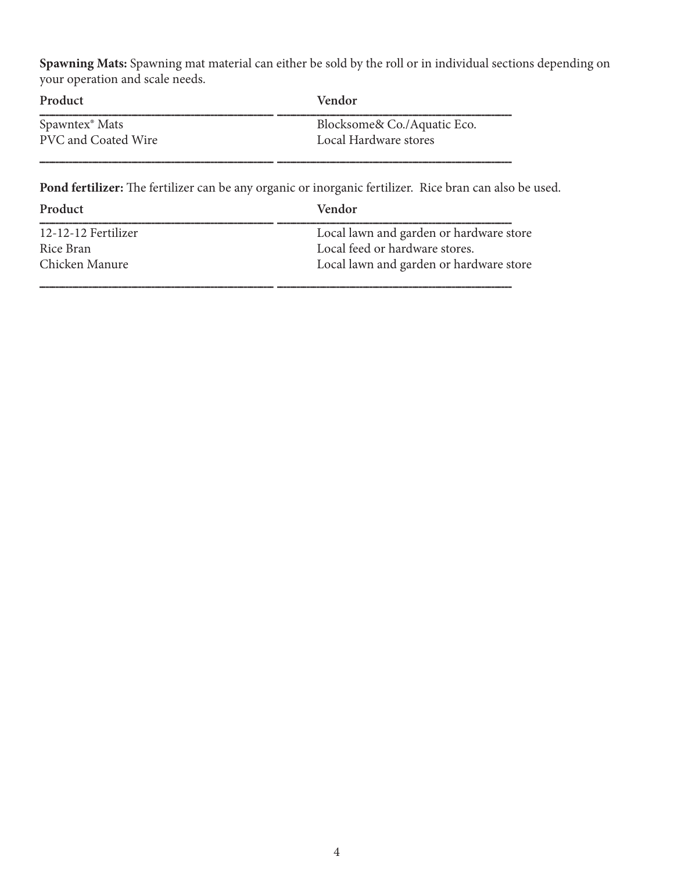**Spawning Mats:** Spawning mat material can either be sold by the roll or in individual sections depending on your operation and scale needs.

| Product                    | <b>Vendor</b>               |
|----------------------------|-----------------------------|
| Spawntex <sup>®</sup> Mats | Blocksome& Co./Aquatic Eco. |
| PVC and Coated Wire        | Local Hardware stores       |

**Pond fertilizer:** The fertilizer can be any organic or inorganic fertilizer. Rice bran can also be used.

| Product             | Vendor                                  |
|---------------------|-----------------------------------------|
| 12-12-12 Fertilizer | Local lawn and garden or hardware store |
| Rice Bran           | Local feed or hardware stores.          |
| Chicken Manure      | Local lawn and garden or hardware store |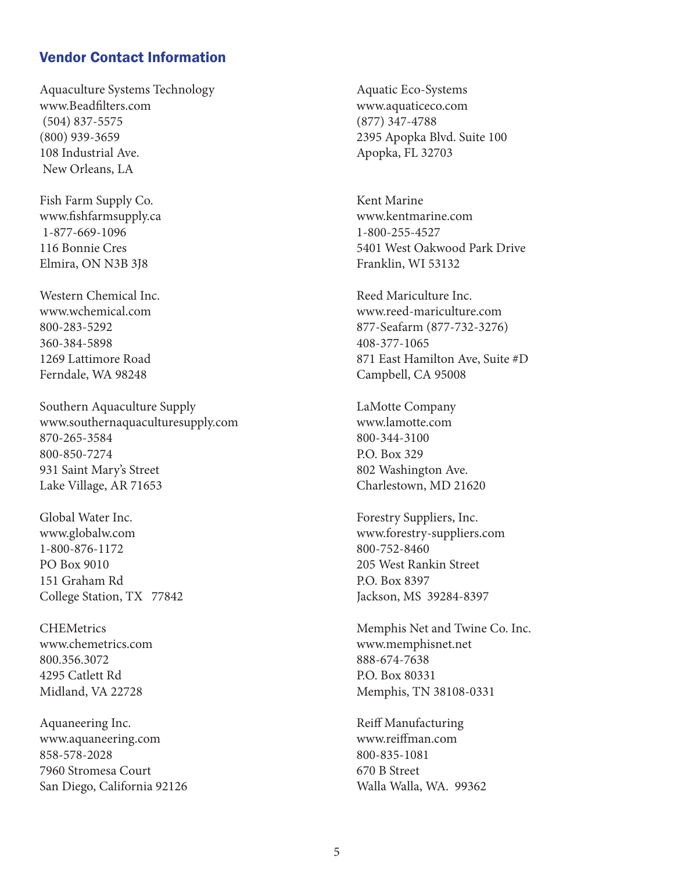## Vendor Contact Information

Aquaculture Systems Technology Aquatic Eco-Systems www.Beadfilters.com www.aquaticeco.com (504) 837-5575 (877) 347-4788 (800) 939-3659 2395 Apopka Blvd. Suite 100 108 Industrial Ave. **Apopka, FL 32703** New Orleans, LA

Fish Farm Supply Co. Kent Marine www.fishfarmsupply.ca www.kentmarine.com 1-877-669-1096 1-800-255-4527 Elmira, ON N3B 3J8 Franklin, WI 53132

Western Chemical Inc. The Chemical Inc. The Chemical Inc. Reed Mariculture Inc. 360-384-5898 408-377-1065 Ferndale, WA 98248 Campbell, CA 95008

Southern Aquaculture Supply **LaMotte Company** www.southernaquaculturesupply.com www.lamotte.com 870-265-3584 800-344-3100 800-850-7274 P.O. Box 329 931 Saint Mary's Street 802 Washington Ave. Lake Village, AR 71653 Charlestown, MD 21620

Global Water Inc. **Forestry Suppliers**, Inc. 1-800-876-1172 800-752-8460 PO Box 9010 205 West Rankin Street 151 Graham Rd P.O. Box 8397 College Station, TX 77842 Jackson, MS 39284-8397

800.356.3072 888-674-7638 4295 Catlett Rd P.O. Box 80331

Aquaneering Inc. The Community Reiff Manufacturing Aquaneering Inc. www.aquaneering.com www.reiffman.com 858-578-2028 800-835-1081 7960 Stromesa Court 670 B Street San Diego, California 92126 Walla Walla, WA. 99362

116 Bonnie Cres 5401 West Oakwood Park Drive

www.wchemical.com www.reed-mariculture.com 800-283-5292 877-Seafarm (877-732-3276) 1269 Lattimore Road 871 East Hamilton Ave, Suite #D

www.globalw.com www.forestry-suppliers.com

CHEMetrics Memphis Net and Twine Co. Inc. www.chemetrics.com www.memphisnet.net Midland, VA 22728 Memphis, TN 38108-0331